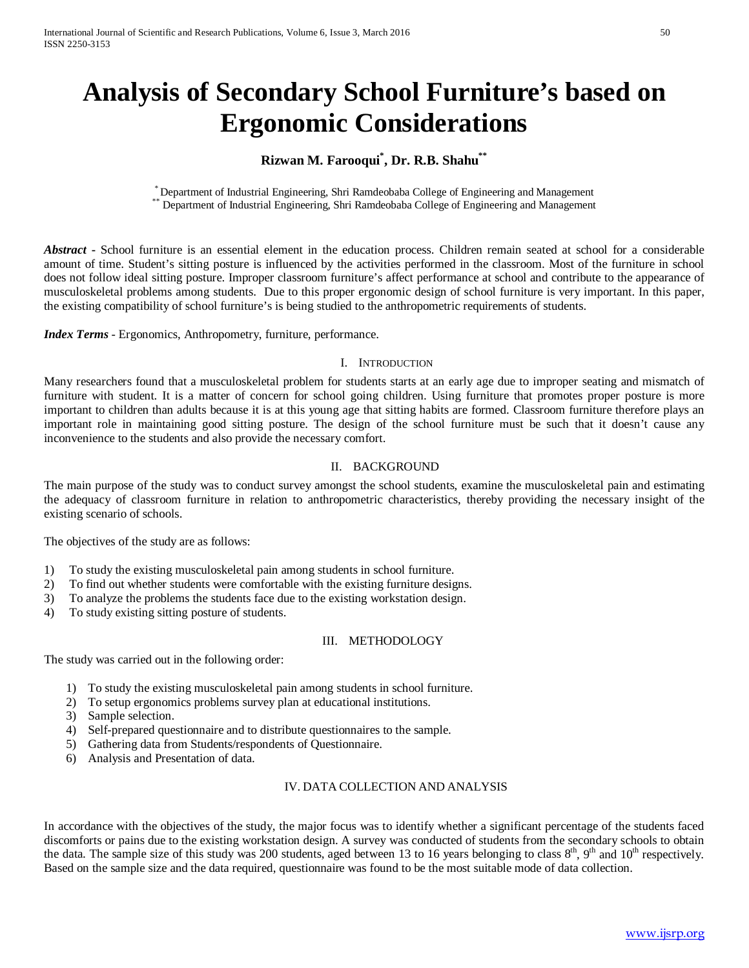# **Analysis of Secondary School Furniture's based on Ergonomic Considerations**

# **Rizwan M. Farooqui\* , Dr. R.B. Shahu\*\***

\* Department of Industrial Engineering, Shri Ramdeobaba College of Engineering and Management \*\* Department of Industrial Engineering, Shri Ramdeobaba College of Engineering and Management

*Abstract* **-** School furniture is an essential element in the education process. Children remain seated at school for a considerable amount of time. Student's sitting posture is influenced by the activities performed in the classroom. Most of the furniture in school does not follow ideal sitting posture. Improper classroom furniture's affect performance at school and contribute to the appearance of musculoskeletal problems among students. Due to this proper ergonomic design of school furniture is very important. In this paper, the existing compatibility of school furniture's is being studied to the anthropometric requirements of students.

*Index Terms* - Ergonomics, Anthropometry, furniture, performance.

### I. INTRODUCTION

Many researchers found that a musculoskeletal problem for students starts at an early age due to improper seating and mismatch of furniture with student. It is a matter of concern for school going children. Using furniture that promotes proper posture is more important to children than adults because it is at this young age that sitting habits are formed. Classroom furniture therefore plays an important role in maintaining good sitting posture. The design of the school furniture must be such that it doesn't cause any inconvenience to the students and also provide the necessary comfort.

## II. BACKGROUND

The main purpose of the study was to conduct survey amongst the school students, examine the musculoskeletal pain and estimating the adequacy of classroom furniture in relation to anthropometric characteristics, thereby providing the necessary insight of the existing scenario of schools.

The objectives of the study are as follows:

- 1) To study the existing musculoskeletal pain among students in school furniture.
- 2) To find out whether students were comfortable with the existing furniture designs.
- 3) To analyze the problems the students face due to the existing workstation design.
- 4) To study existing sitting posture of students.

## III. METHODOLOGY

The study was carried out in the following order:

- 1) To study the existing musculoskeletal pain among students in school furniture.
- 2) To setup ergonomics problems survey plan at educational institutions.
- 3) Sample selection.
- 4) Self-prepared questionnaire and to distribute questionnaires to the sample.
- 5) Gathering data from Students/respondents of Questionnaire.
- 6) Analysis and Presentation of data.

## IV. DATA COLLECTION AND ANALYSIS

In accordance with the objectives of the study, the major focus was to identify whether a significant percentage of the students faced discomforts or pains due to the existing workstation design. A survey was conducted of students from the secondary schools to obtain the data. The sample size of this study was 200 students, aged between 13 to 16 years belonging to class  $8<sup>th</sup>$ ,  $9<sup>th</sup>$  and  $10<sup>th</sup>$  respectively. Based on the sample size and the data required, questionnaire was found to be the most suitable mode of data collection.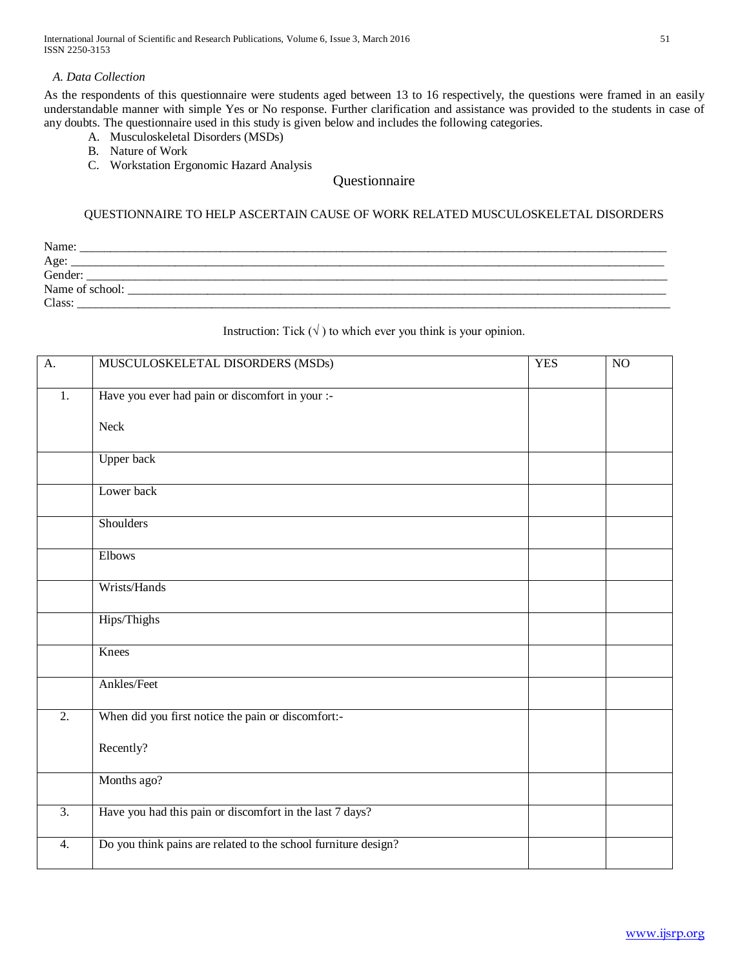International Journal of Scientific and Research Publications, Volume 6, Issue 3, March 2016 51 ISSN 2250-3153

## *A. Data Collection*

As the respondents of this questionnaire were students aged between 13 to 16 respectively, the questions were framed in an easily understandable manner with simple Yes or No response. Further clarification and assistance was provided to the students in case of any doubts. The questionnaire used in this study is given below and includes the following categories.

- A. Musculoskeletal Disorders (MSDs)
- B. Nature of Work
- C. Workstation Ergonomic Hazard Analysis

# Questionnaire

## QUESTIONNAIRE TO HELP ASCERTAIN CAUSE OF WORK RELATED MUSCULOSKELETAL DISORDERS

| Name:           |  |
|-----------------|--|
| Age:            |  |
| Gender:         |  |
| Name of school: |  |
| Class:          |  |

# Instruction: Tick  $(\sqrt{})$  to which ever you think is your opinion.

| A.               | MUSCULOSKELETAL DISORDERS (MSDs)                               | <b>YES</b> | $\overline{NO}$ |
|------------------|----------------------------------------------------------------|------------|-----------------|
| 1.               | Have you ever had pain or discomfort in your :-                |            |                 |
|                  | Neck                                                           |            |                 |
|                  | <b>Upper back</b>                                              |            |                 |
|                  | Lower back                                                     |            |                 |
|                  | <b>Shoulders</b>                                               |            |                 |
|                  | Elbows                                                         |            |                 |
|                  | Wrists/Hands                                                   |            |                 |
|                  | Hips/Thighs                                                    |            |                 |
|                  | Knees                                                          |            |                 |
|                  | Ankles/Feet                                                    |            |                 |
| $\overline{2}$ . | When did you first notice the pain or discomfort:-             |            |                 |
|                  | Recently?                                                      |            |                 |
|                  | Months ago?                                                    |            |                 |
| $\overline{3}$ . | Have you had this pain or discomfort in the last 7 days?       |            |                 |
| 4.               | Do you think pains are related to the school furniture design? |            |                 |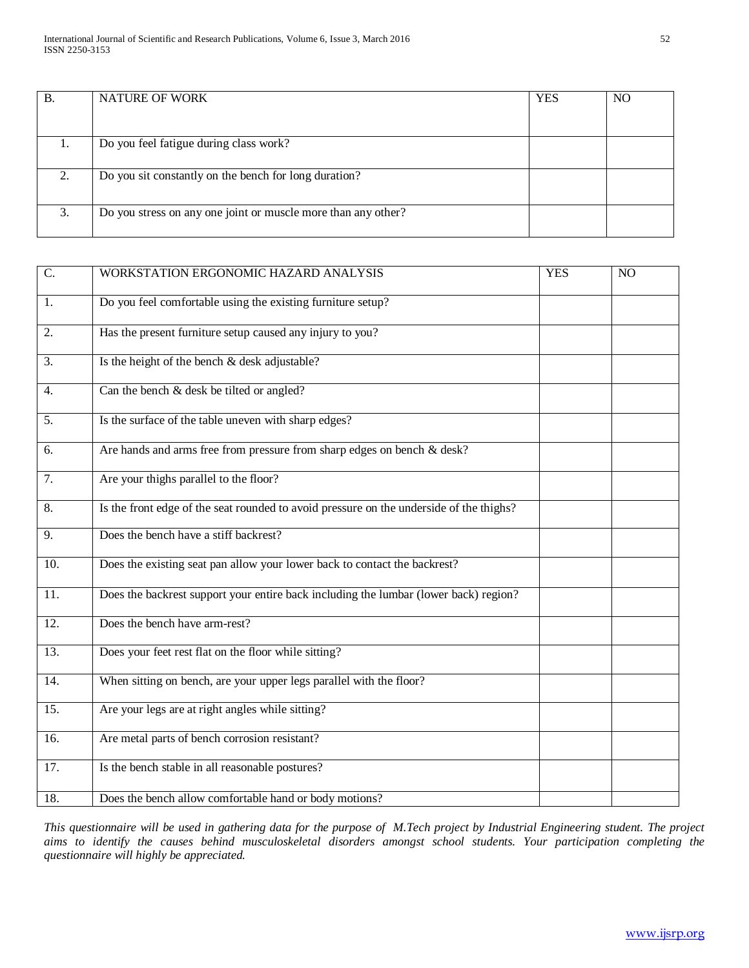| В. | <b>NATURE OF WORK</b>                                         | <b>YES</b> | N <sub>O</sub> |
|----|---------------------------------------------------------------|------------|----------------|
|    |                                                               |            |                |
| ī. | Do you feel fatigue during class work?                        |            |                |
| 2. | Do you sit constantly on the bench for long duration?         |            |                |
| 3. | Do you stress on any one joint or muscle more than any other? |            |                |

| C.                | WORKSTATION ERGONOMIC HAZARD ANALYSIS                                                   | <b>YES</b> | NO |
|-------------------|-----------------------------------------------------------------------------------------|------------|----|
| 1.                | Do you feel comfortable using the existing furniture setup?                             |            |    |
| 2.                | Has the present furniture setup caused any injury to you?                               |            |    |
| 3.                | Is the height of the bench & desk adjustable?                                           |            |    |
| 4.                | Can the bench & desk be tilted or angled?                                               |            |    |
| 5.                | Is the surface of the table uneven with sharp edges?                                    |            |    |
| 6.                | Are hands and arms free from pressure from sharp edges on bench & desk?                 |            |    |
| 7.                | Are your thighs parallel to the floor?                                                  |            |    |
| 8.                | Is the front edge of the seat rounded to avoid pressure on the underside of the thighs? |            |    |
| 9.                | Does the bench have a stiff backrest?                                                   |            |    |
| 10.               | Does the existing seat pan allow your lower back to contact the backrest?               |            |    |
| 11.               | Does the backrest support your entire back including the lumbar (lower back) region?    |            |    |
| $\overline{12}$ . | Does the bench have arm-rest?                                                           |            |    |
| 13.               | Does your feet rest flat on the floor while sitting?                                    |            |    |
| 14.               | When sitting on bench, are your upper legs parallel with the floor?                     |            |    |
| $\overline{15}$ . | Are your legs are at right angles while sitting?                                        |            |    |
| $\overline{16}$ . | Are metal parts of bench corrosion resistant?                                           |            |    |
| 17.               | Is the bench stable in all reasonable postures?                                         |            |    |
| 18.               | Does the bench allow comfortable hand or body motions?                                  |            |    |

*This questionnaire will be used in gathering data for the purpose of M.Tech project by Industrial Engineering student. The project aims to identify the causes behind musculoskeletal disorders amongst school students. Your participation completing the questionnaire will highly be appreciated.*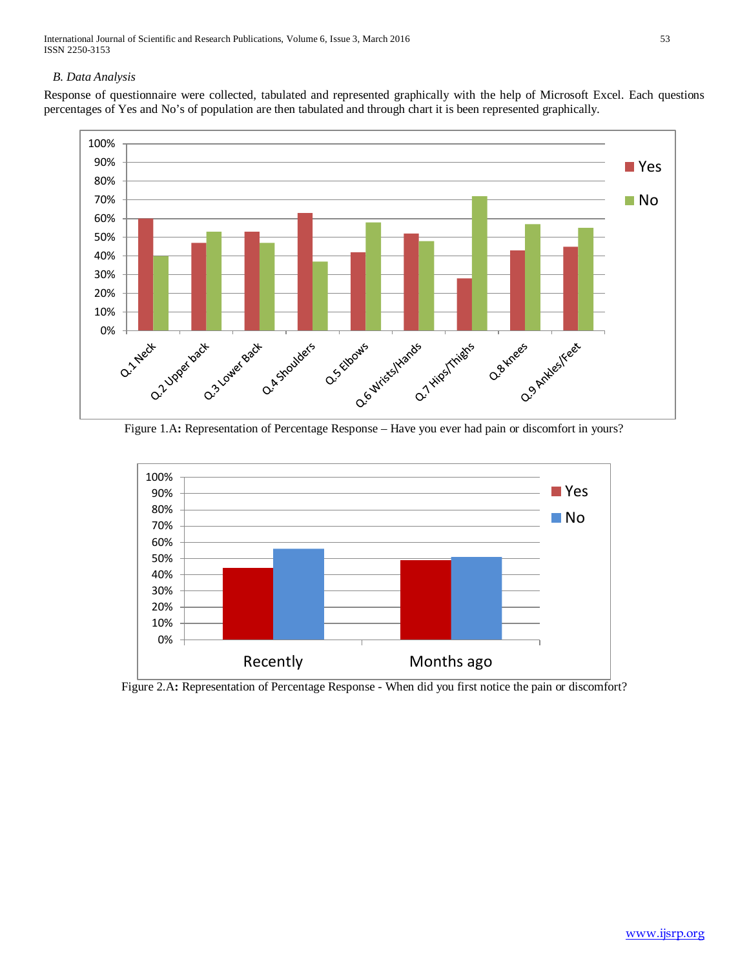International Journal of Scientific and Research Publications, Volume 6, Issue 3, March 2016 53 ISSN 2250-3153

## *B. Data Analysis*

Response of questionnaire were collected, tabulated and represented graphically with the help of Microsoft Excel. Each questions percentages of Yes and No's of population are then tabulated and through chart it is been represented graphically.



Figure 1.A**:** Representation of Percentage Response – Have you ever had pain or discomfort in yours?



![](_page_3_Figure_6.jpeg)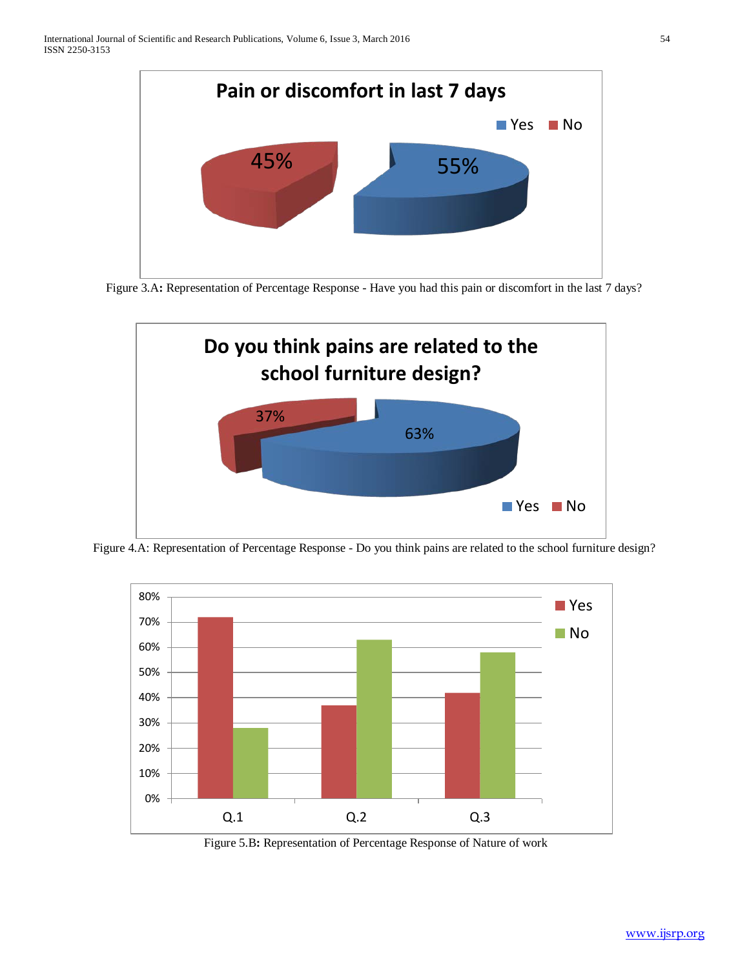![](_page_4_Figure_1.jpeg)

Figure 3.A: Representation of Percentage Response - Have you had this pain or discomfort in the last 7 days?

![](_page_4_Figure_3.jpeg)

Figure 4.A: Representation of Percentage Response - Do you think pains are related to the school furniture design?

![](_page_4_Figure_5.jpeg)

Figure 5.B**:** Representation of Percentage Response of Nature of work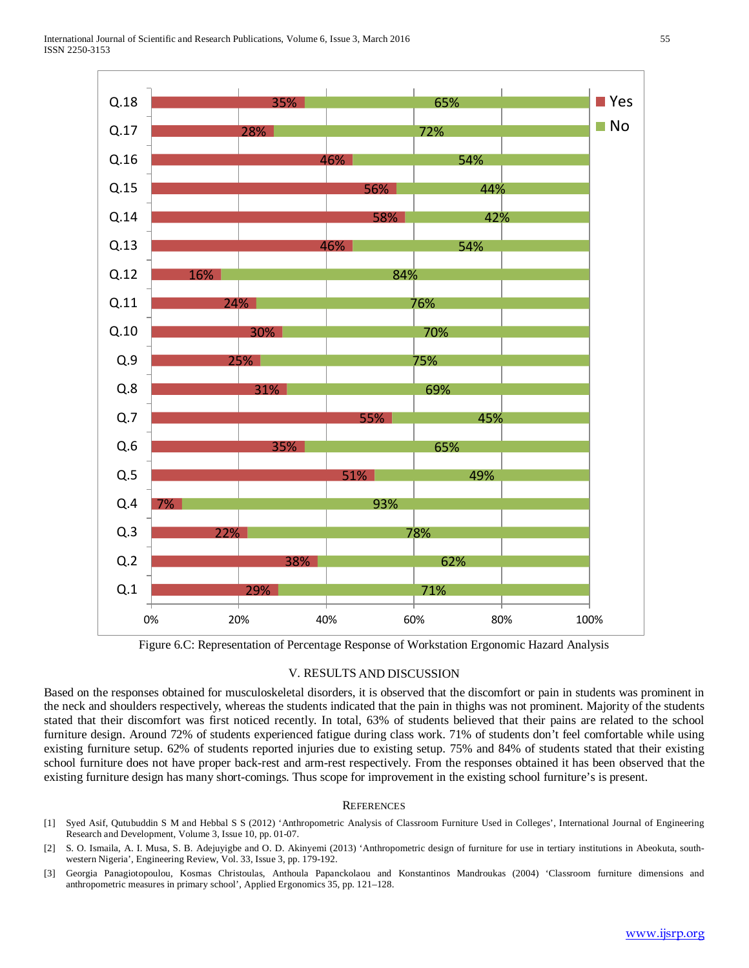![](_page_5_Figure_1.jpeg)

Figure 6.C: Representation of Percentage Response of Workstation Ergonomic Hazard Analysis

#### V. RESULTS AND DISCUSSION

Based on the responses obtained for musculoskeletal disorders, it is observed that the discomfort or pain in students was prominent in the neck and shoulders respectively, whereas the students indicated that the pain in thighs was not prominent. Majority of the students stated that their discomfort was first noticed recently. In total, 63% of students believed that their pains are related to the school furniture design. Around 72% of students experienced fatigue during class work. 71% of students don't feel comfortable while using existing furniture setup. 62% of students reported injuries due to existing setup. 75% and 84% of students stated that their existing school furniture does not have proper back-rest and arm-rest respectively. From the responses obtained it has been observed that the existing furniture design has many short-comings. Thus scope for improvement in the existing school furniture's is present.

#### **REFERENCES**

- [1] Syed Asif, Qutubuddin S M and Hebbal S S (2012) 'Anthropometric Analysis of Classroom Furniture Used in Colleges', International Journal of Engineering Research and Development, Volume 3, Issue 10, pp. 01-07.
- [2] S. O. Ismaila, A. I. Musa, S. B. Adejuyigbe and O. D. Akinyemi (2013) 'Anthropometric design of furniture for use in tertiary institutions in Abeokuta, southwestern Nigeria', Engineering Review, Vol. 33, Issue 3, pp. 179-192.
- [3] Georgia Panagiotopoulou, Kosmas Christoulas, Anthoula Papanckolaou and Konstantinos Mandroukas (2004) 'Classroom furniture dimensions and anthropometric measures in primary school', Applied Ergonomics 35, pp. 121–128.